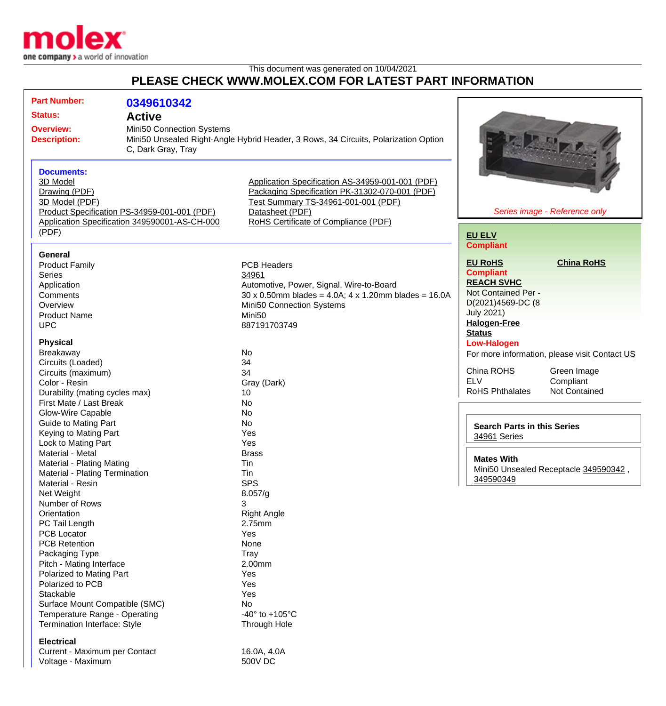

## This document was generated on 10/04/2021 **PLEASE CHECK WWW.MOLEX.COM FOR LATEST PART INFORMATION**

| <b>Part Number:</b><br><b>Status:</b><br><b>Overview:</b><br><b>Description:</b> |                                                                                                                                                                                                                                                                                                                           | 0349610342<br><b>Active</b><br>Mini50 Connection Systems<br>Mini50 Unsealed Right-Angle Hybrid Header, 3 Rows, 34 Circuits, Polarization Option<br>C, Dark Gray, Tray |                                                                                                                                                                                                            |                                                                                                                                                 |                                                                                            |
|----------------------------------------------------------------------------------|---------------------------------------------------------------------------------------------------------------------------------------------------------------------------------------------------------------------------------------------------------------------------------------------------------------------------|-----------------------------------------------------------------------------------------------------------------------------------------------------------------------|------------------------------------------------------------------------------------------------------------------------------------------------------------------------------------------------------------|-------------------------------------------------------------------------------------------------------------------------------------------------|--------------------------------------------------------------------------------------------|
|                                                                                  | <b>Documents:</b><br>3D Model<br>Drawing (PDF)<br>3D Model (PDF)                                                                                                                                                                                                                                                          | Product Specification PS-34959-001-001 (PDF)<br>Application Specification 349590001-AS-CH-000                                                                         | Application Specification AS-34959-001-001 (PDF)<br>Packaging Specification PK-31302-070-001 (PDF)<br>Test Summary TS-34961-001-001 (PDF)<br>Datasheet (PDF)<br>RoHS Certificate of Compliance (PDF)       | Series image - Reference only                                                                                                                   |                                                                                            |
|                                                                                  | (PDF)                                                                                                                                                                                                                                                                                                                     |                                                                                                                                                                       |                                                                                                                                                                                                            | <b>EU ELV</b><br><b>Compliant</b>                                                                                                               |                                                                                            |
|                                                                                  | <b>General</b><br><b>Product Family</b><br><b>Series</b><br>Application<br>Comments<br>Overview<br><b>Product Name</b><br><b>UPC</b>                                                                                                                                                                                      |                                                                                                                                                                       | <b>PCB Headers</b><br>34961<br>Automotive, Power, Signal, Wire-to-Board<br>$30 \times 0.50$ mm blades = 4.0A; 4 x 1.20mm blades = 16.0A<br>Mini50 Connection Systems<br>Mini <sub>50</sub><br>887191703749 | <b>EU RoHS</b><br><b>Compliant</b><br><b>REACH SVHC</b><br>Not Contained Per -<br>D(2021)4569-DC (8<br><b>July 2021)</b><br><b>Halogen-Free</b> | <b>China RoHS</b>                                                                          |
|                                                                                  | <b>Physical</b>                                                                                                                                                                                                                                                                                                           |                                                                                                                                                                       |                                                                                                                                                                                                            | <b>Status</b><br><b>Low-Halogen</b>                                                                                                             |                                                                                            |
|                                                                                  | Breakaway<br>Circuits (Loaded)<br>Circuits (maximum)<br>Color - Resin<br>Durability (mating cycles max)                                                                                                                                                                                                                   |                                                                                                                                                                       | No<br>34<br>34<br>Gray (Dark)<br>10                                                                                                                                                                        | China ROHS<br><b>ELV</b><br><b>RoHS Phthalates</b>                                                                                              | For more information, please visit Contact US<br>Green Image<br>Compliant<br>Not Contained |
|                                                                                  | First Mate / Last Break                                                                                                                                                                                                                                                                                                   |                                                                                                                                                                       | <b>No</b>                                                                                                                                                                                                  |                                                                                                                                                 |                                                                                            |
|                                                                                  | Glow-Wire Capable                                                                                                                                                                                                                                                                                                         |                                                                                                                                                                       | <b>No</b>                                                                                                                                                                                                  |                                                                                                                                                 |                                                                                            |
|                                                                                  | <b>Guide to Mating Part</b><br>Keying to Mating Part<br>Lock to Mating Part                                                                                                                                                                                                                                               |                                                                                                                                                                       | No<br>Yes<br>Yes                                                                                                                                                                                           | <b>Search Parts in this Series</b><br>34961 Series                                                                                              |                                                                                            |
|                                                                                  | Material - Metal<br>Material - Plating Mating<br>Material - Plating Termination<br>Material - Resin                                                                                                                                                                                                                       |                                                                                                                                                                       | <b>Brass</b><br>Tin<br>Tin<br><b>SPS</b>                                                                                                                                                                   | <b>Mates With</b><br>349590349                                                                                                                  | Mini50 Unsealed Receptacle 349590342,                                                      |
|                                                                                  | Net Weight<br>Number of Rows<br>Orientation<br>PC Tail Length<br><b>PCB Locator</b><br><b>PCB Retention</b><br>Packaging Type<br>Pitch - Mating Interface<br>Polarized to Mating Part<br>Polarized to PCB<br>Stackable<br>Surface Mount Compatible (SMC)<br>Temperature Range - Operating<br>Termination Interface: Style |                                                                                                                                                                       | 8.057/g<br>3<br><b>Right Angle</b><br>2.75mm<br>Yes<br>None<br>Tray<br>2.00mm<br>Yes<br>Yes<br>Yes<br>No<br>-40 $\degree$ to +105 $\degree$ C<br>Through Hole                                              |                                                                                                                                                 |                                                                                            |
|                                                                                  | <b>Electrical</b><br>Current - Maximum per Contact                                                                                                                                                                                                                                                                        |                                                                                                                                                                       | 16.0A, 4.0A                                                                                                                                                                                                |                                                                                                                                                 |                                                                                            |

Voltage - Maximum 600V DC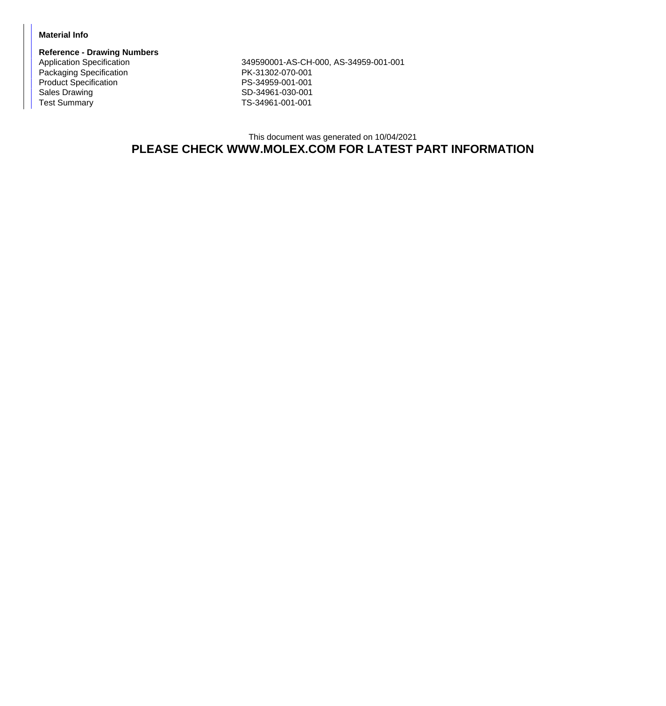## **Material Info**

**Reference - Drawing Numbers** Packaging Specification **PK-31302-070-001** Product Specification **PS-34959-001-001** Sales Drawing Sales Drawing SD-34961-030-001<br>
Test Summary SD-34961-001-001

Application Specification 349590001-AS-CH-000, AS-34959-001-001 TS-34961-001-001

This document was generated on 10/04/2021 **PLEASE CHECK WWW.MOLEX.COM FOR LATEST PART INFORMATION**